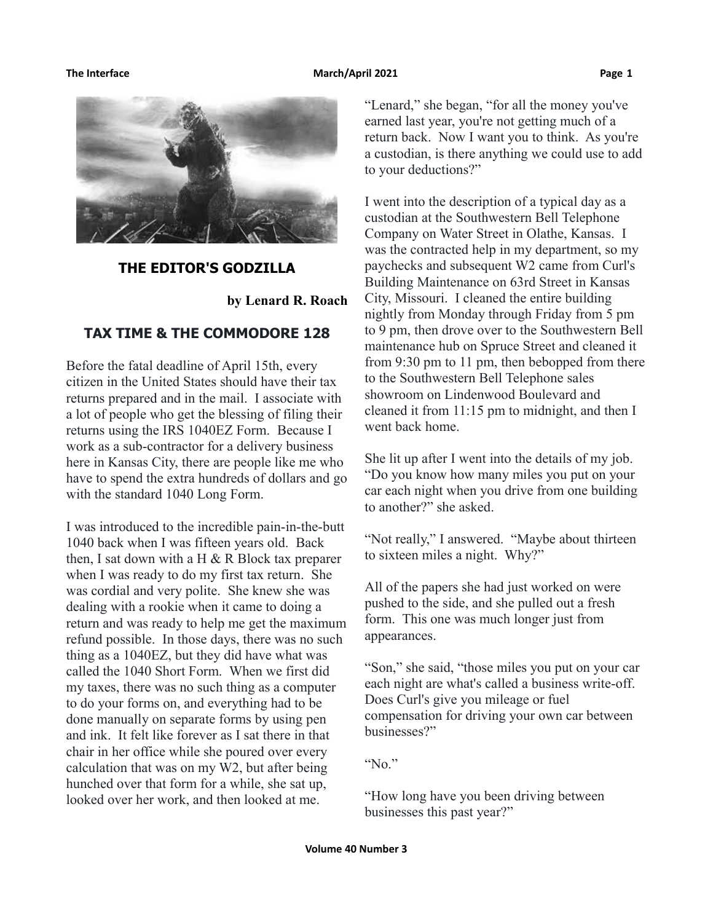### **The Interface The Contract Contract Contract Contract March/April 2021 Page 1** Page 1



## **THE EDITOR'S GODZILLA**

**by Lenard R. Roach**

## **TAX TIME & THE COMMODORE 128**

Before the fatal deadline of April 15th, every citizen in the United States should have their tax returns prepared and in the mail. I associate with a lot of people who get the blessing of filing their returns using the IRS 1040EZ Form. Because I work as a sub-contractor for a delivery business here in Kansas City, there are people like me who have to spend the extra hundreds of dollars and go with the standard 1040 Long Form.

I was introduced to the incredible pain-in-the-butt 1040 back when I was fifteen years old. Back then, I sat down with a  $H \& R$  Block tax preparer when I was ready to do my first tax return. She was cordial and very polite. She knew she was dealing with a rookie when it came to doing a return and was ready to help me get the maximum refund possible. In those days, there was no such thing as a 1040EZ, but they did have what was called the 1040 Short Form. When we first did my taxes, there was no such thing as a computer to do your forms on, and everything had to be done manually on separate forms by using pen and ink. It felt like forever as I sat there in that chair in her office while she poured over every calculation that was on my W2, but after being hunched over that form for a while, she sat up, looked over her work, and then looked at me.

"Lenard," she began, "for all the money you've earned last year, you're not getting much of a return back. Now I want you to think. As you're a custodian, is there anything we could use to add to your deductions?"

I went into the description of a typical day as a custodian at the Southwestern Bell Telephone Company on Water Street in Olathe, Kansas. I was the contracted help in my department, so my paychecks and subsequent W2 came from Curl's Building Maintenance on 63rd Street in Kansas City, Missouri. I cleaned the entire building nightly from Monday through Friday from 5 pm to 9 pm, then drove over to the Southwestern Bell maintenance hub on Spruce Street and cleaned it from 9:30 pm to 11 pm, then bebopped from there to the Southwestern Bell Telephone sales showroom on Lindenwood Boulevard and cleaned it from 11:15 pm to midnight, and then I went back home.

She lit up after I went into the details of my job. "Do you know how many miles you put on your car each night when you drive from one building to another?" she asked.

"Not really," I answered. "Maybe about thirteen to sixteen miles a night. Why?"

All of the papers she had just worked on were pushed to the side, and she pulled out a fresh form. This one was much longer just from appearances.

"Son," she said, "those miles you put on your car each night are what's called a business write-off. Does Curl's give you mileage or fuel compensation for driving your own car between businesses?"

"No."

"How long have you been driving between businesses this past year?"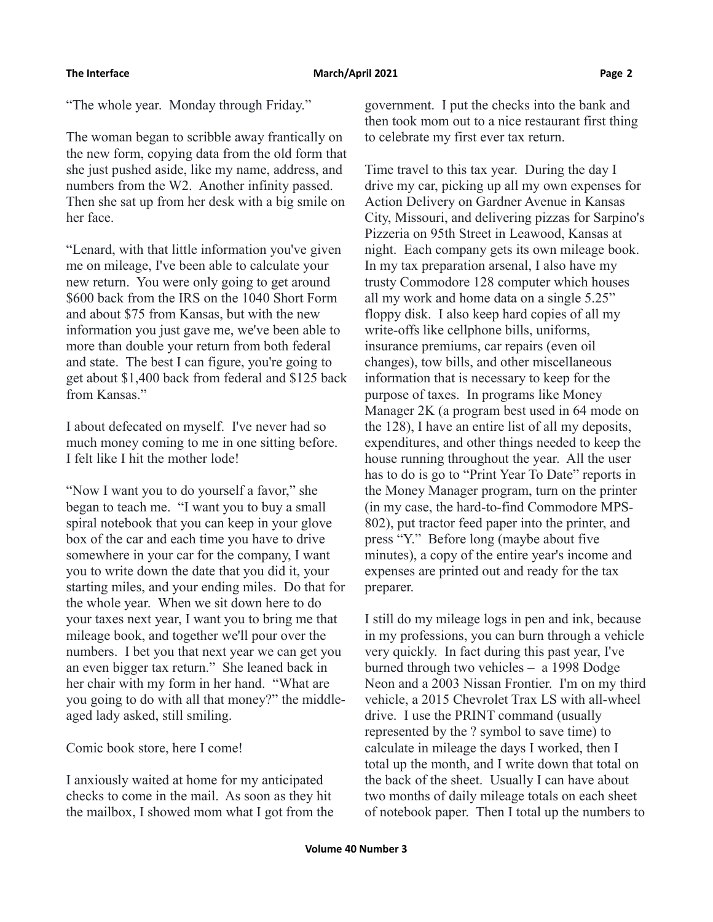"The whole year. Monday through Friday."

The woman began to scribble away frantically on the new form, copying data from the old form that she just pushed aside, like my name, address, and numbers from the W2. Another infinity passed. Then she sat up from her desk with a big smile on her face.

"Lenard, with that little information you've given me on mileage, I've been able to calculate your new return. You were only going to get around \$600 back from the IRS on the 1040 Short Form and about \$75 from Kansas, but with the new information you just gave me, we've been able to more than double your return from both federal and state. The best I can figure, you're going to get about \$1,400 back from federal and \$125 back from Kansas."

I about defecated on myself. I've never had so much money coming to me in one sitting before. I felt like I hit the mother lode!

"Now I want you to do yourself a favor," she began to teach me. "I want you to buy a small spiral notebook that you can keep in your glove box of the car and each time you have to drive somewhere in your car for the company, I want you to write down the date that you did it, your starting miles, and your ending miles. Do that for the whole year. When we sit down here to do your taxes next year, I want you to bring me that mileage book, and together we'll pour over the numbers. I bet you that next year we can get you an even bigger tax return." She leaned back in her chair with my form in her hand. "What are you going to do with all that money?" the middleaged lady asked, still smiling.

Comic book store, here I come!

I anxiously waited at home for my anticipated checks to come in the mail. As soon as they hit the mailbox, I showed mom what I got from the government. I put the checks into the bank and then took mom out to a nice restaurant first thing to celebrate my first ever tax return.

Time travel to this tax year. During the day I drive my car, picking up all my own expenses for Action Delivery on Gardner Avenue in Kansas City, Missouri, and delivering pizzas for Sarpino's Pizzeria on 95th Street in Leawood, Kansas at night. Each company gets its own mileage book. In my tax preparation arsenal, I also have my trusty Commodore 128 computer which houses all my work and home data on a single 5.25" floppy disk. I also keep hard copies of all my write-offs like cellphone bills, uniforms, insurance premiums, car repairs (even oil changes), tow bills, and other miscellaneous information that is necessary to keep for the purpose of taxes. In programs like Money Manager 2K (a program best used in 64 mode on the 128), I have an entire list of all my deposits, expenditures, and other things needed to keep the house running throughout the year. All the user has to do is go to "Print Year To Date" reports in the Money Manager program, turn on the printer (in my case, the hard-to-find Commodore MPS-802), put tractor feed paper into the printer, and press "Y." Before long (maybe about five minutes), a copy of the entire year's income and expenses are printed out and ready for the tax preparer.

I still do my mileage logs in pen and ink, because in my professions, you can burn through a vehicle very quickly. In fact during this past year, I've burned through two vehicles – a 1998 Dodge Neon and a 2003 Nissan Frontier. I'm on my third vehicle, a 2015 Chevrolet Trax LS with all-wheel drive. I use the PRINT command (usually represented by the ? symbol to save time) to calculate in mileage the days I worked, then I total up the month, and I write down that total on the back of the sheet. Usually I can have about two months of daily mileage totals on each sheet of notebook paper. Then I total up the numbers to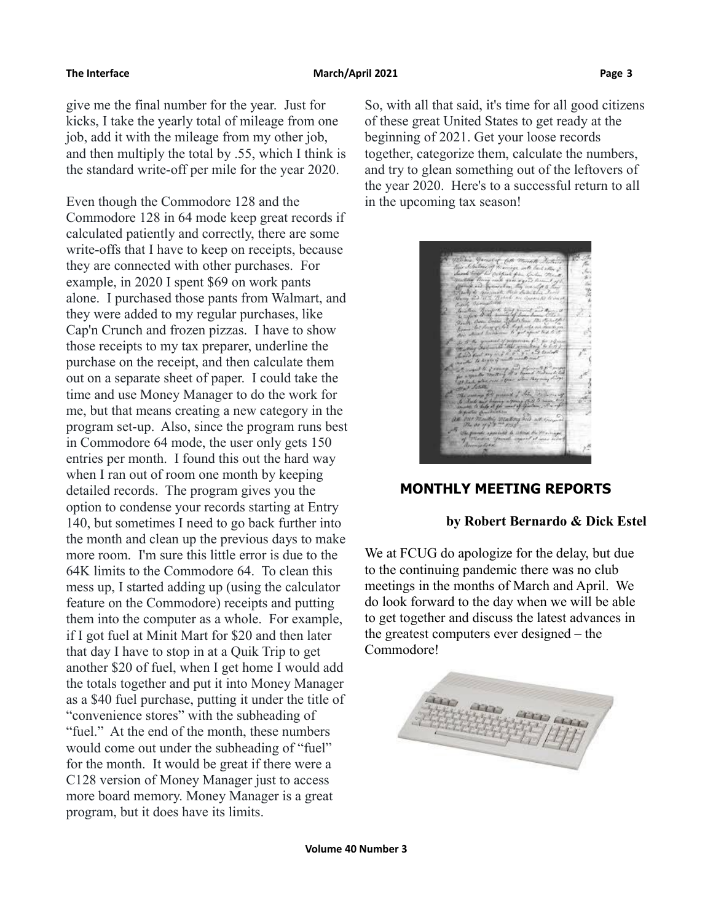give me the final number for the year. Just for kicks, I take the yearly total of mileage from one job, add it with the mileage from my other job, and then multiply the total by .55, which I think is the standard write-off per mile for the year 2020.

Even though the Commodore 128 and the Commodore 128 in 64 mode keep great records if calculated patiently and correctly, there are some write-offs that I have to keep on receipts, because they are connected with other purchases. For example, in 2020 I spent \$69 on work pants alone. I purchased those pants from Walmart, and they were added to my regular purchases, like Cap'n Crunch and frozen pizzas. I have to show those receipts to my tax preparer, underline the purchase on the receipt, and then calculate them out on a separate sheet of paper. I could take the time and use Money Manager to do the work for me, but that means creating a new category in the program set-up. Also, since the program runs best in Commodore 64 mode, the user only gets 150 entries per month. I found this out the hard way when I ran out of room one month by keeping detailed records. The program gives you the option to condense your records starting at Entry 140, but sometimes I need to go back further into the month and clean up the previous days to make more room. I'm sure this little error is due to the 64K limits to the Commodore 64. To clean this mess up, I started adding up (using the calculator feature on the Commodore) receipts and putting them into the computer as a whole. For example, if I got fuel at Minit Mart for \$20 and then later that day I have to stop in at a Quik Trip to get another \$20 of fuel, when I get home I would add the totals together and put it into Money Manager as a \$40 fuel purchase, putting it under the title of "convenience stores" with the subheading of "fuel." At the end of the month, these numbers would come out under the subheading of "fuel" for the month. It would be great if there were a C128 version of Money Manager just to access more board memory. Money Manager is a great program, but it does have its limits.

So, with all that said, it's time for all good citizens of these great United States to get ready at the beginning of 2021. Get your loose records together, categorize them, calculate the numbers, and try to glean something out of the leftovers of the year 2020. Here's to a successful return to all in the upcoming tax season!

## **MONTHLY MEETING REPORTS**

## **by Robert Bernardo & Dick Estel**

We at FCUG do apologize for the delay, but due to the continuing pandemic there was no club meetings in the months of March and April. We do look forward to the day when we will be able to get together and discuss the latest advances in the greatest computers ever designed – the Commodore!

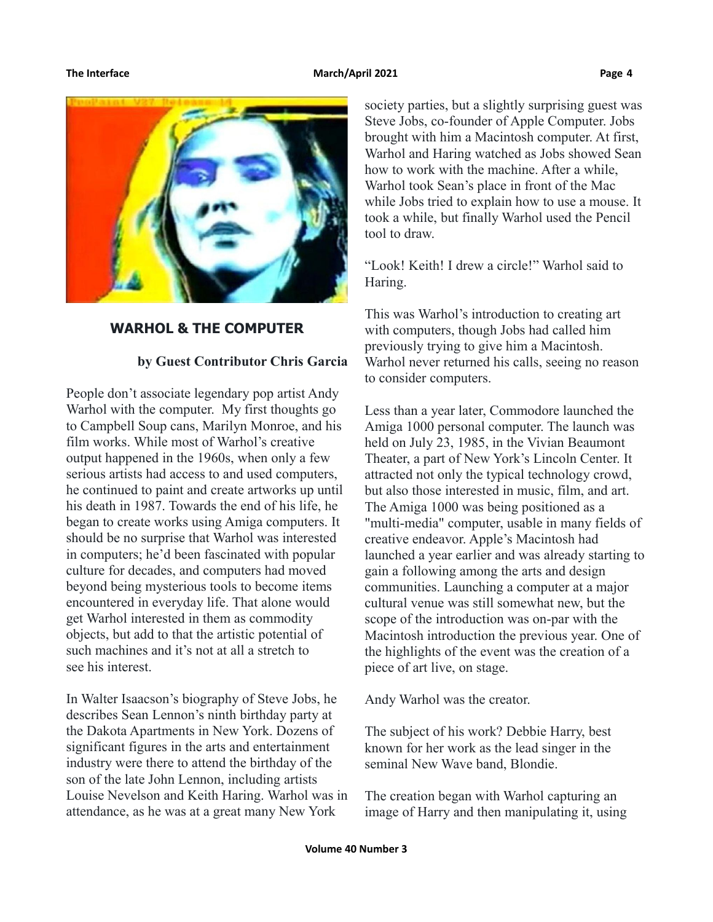

## **WARHOL & THE COMPUTER**

## **by Guest Contributor Chris Garcia**

People don't associate legendary pop artist Andy Warhol with the computer. My first thoughts go to Campbell Soup cans, Marilyn Monroe, and his film works. While most of Warhol's creative output happened in the 1960s, when only a few serious artists had access to and used computers, he continued to paint and create artworks up until his death in 1987. Towards the end of his life, he began to create works using Amiga computers. It should be no surprise that Warhol was interested in computers; he'd been fascinated with popular culture for decades, and computers had moved beyond being mysterious tools to become items encountered in everyday life. That alone would get Warhol interested in them as commodity objects, but add to that the artistic potential of such machines and it's not at all a stretch to see his interest.

In Walter Isaacson's biography of Steve Jobs, he describes Sean Lennon's ninth birthday party at the Dakota Apartments in New York. Dozens of significant figures in the arts and entertainment industry were there to attend the birthday of the son of the late John Lennon, including artists Louise Nevelson and Keith Haring. Warhol was in attendance, as he was at a great many New York

society parties, but a slightly surprising guest was Steve Jobs, co-founder of Apple Computer. Jobs brought with him a Macintosh computer. At first, Warhol and Haring watched as Jobs showed Sean how to work with the machine. After a while, Warhol took Sean's place in front of the Mac while Jobs tried to explain how to use a mouse. It took a while, but finally Warhol used the Pencil tool to draw.

"Look! Keith! I drew a circle!" Warhol said to Haring.

This was Warhol's introduction to creating art with computers, though Jobs had called him previously trying to give him a Macintosh. Warhol never returned his calls, seeing no reason to consider computers.

Less than a year later, Commodore launched the Amiga 1000 personal computer. The launch was held on July 23, 1985, in the Vivian Beaumont Theater, a part of New York's Lincoln Center. It attracted not only the typical technology crowd, but also those interested in music, film, and art. The Amiga 1000 was being positioned as a "multi-media" computer, usable in many fields of creative endeavor. Apple's Macintosh had launched a year earlier and was already starting to gain a following among the arts and design communities. Launching a computer at a major cultural venue was still somewhat new, but the scope of the introduction was on-par with the Macintosh introduction the previous year. One of the highlights of the event was the creation of a piece of art live, on stage.

Andy Warhol was the creator.

The subject of his work? Debbie Harry, best known for her work as the lead singer in the seminal New Wave band, Blondie.

The creation began with Warhol capturing an image of Harry and then manipulating it, using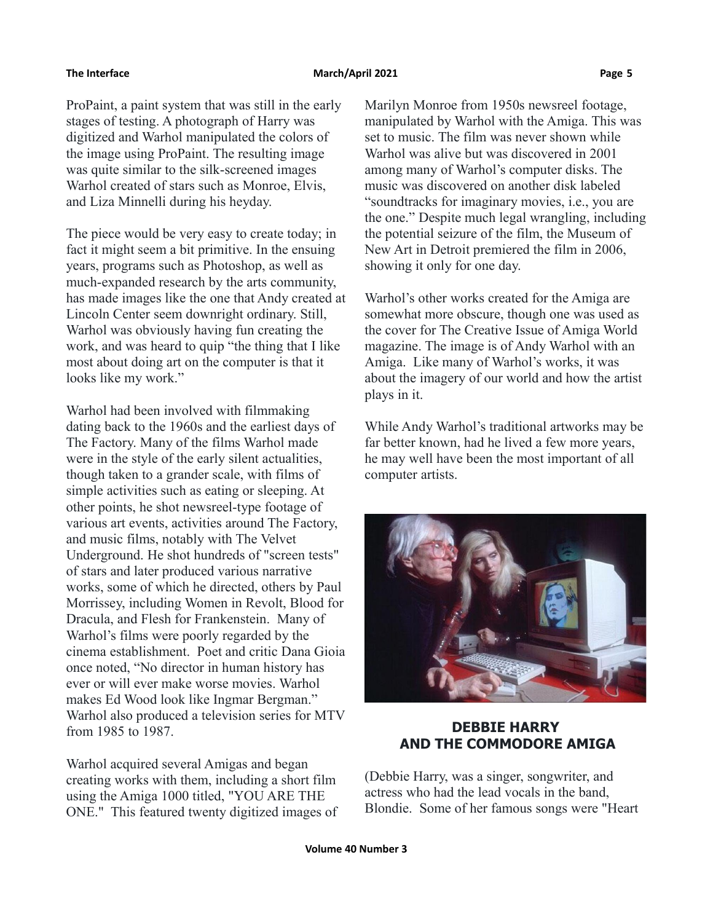ProPaint, a paint system that was still in the early stages of testing. A photograph of Harry was digitized and Warhol manipulated the colors of the image using ProPaint. The resulting image was quite similar to the silk-screened images Warhol created of stars such as Monroe, Elvis, and Liza Minnelli during his heyday.

The piece would be very easy to create today; in fact it might seem a bit primitive. In the ensuing years, programs such as Photoshop, as well as much-expanded research by the arts community, has made images like the one that Andy created at Lincoln Center seem downright ordinary. Still, Warhol was obviously having fun creating the work, and was heard to quip "the thing that I like most about doing art on the computer is that it looks like my work."

Warhol had been involved with filmmaking dating back to the 1960s and the earliest days of The Factory. Many of the films Warhol made were in the style of the early silent actualities, though taken to a grander scale, with films of simple activities such as eating or sleeping. At other points, he shot newsreel-type footage of various art events, activities around The Factory, and music films, notably with The Velvet Underground. He shot hundreds of "screen tests" of stars and later produced various narrative works, some of which he directed, others by Paul Morrissey, including Women in Revolt, Blood for Dracula, and Flesh for Frankenstein. Many of Warhol's films were poorly regarded by the cinema establishment. Poet and critic Dana Gioia once noted, "No director in human history has ever or will ever make worse movies. Warhol makes Ed Wood look like Ingmar Bergman." Warhol also produced a television series for MTV from 1985 to 1987.

Warhol acquired several Amigas and began creating works with them, including a short film using the Amiga 1000 titled, "YOU ARE THE ONE." This featured twenty digitized images of Marilyn Monroe from 1950s newsreel footage, manipulated by Warhol with the Amiga. This was set to music. The film was never shown while Warhol was alive but was discovered in 2001 among many of Warhol's computer disks. The music was discovered on another disk labeled "soundtracks for imaginary movies, i.e., you are the one." Despite much legal wrangling, including the potential seizure of the film, the Museum of New Art in Detroit premiered the film in 2006, showing it only for one day.

Warhol's other works created for the Amiga are somewhat more obscure, though one was used as the cover for The Creative Issue of Amiga World magazine. The image is of Andy Warhol with an Amiga. Like many of Warhol's works, it was about the imagery of our world and how the artist plays in it.

While Andy Warhol's traditional artworks may be far better known, had he lived a few more years, he may well have been the most important of all computer artists.



# **DEBBIE HARRY AND THE COMMODORE AMIGA**

(Debbie Harry, was a singer, songwriter, and actress who had the lead vocals in the band, Blondie. Some of her famous songs were "Heart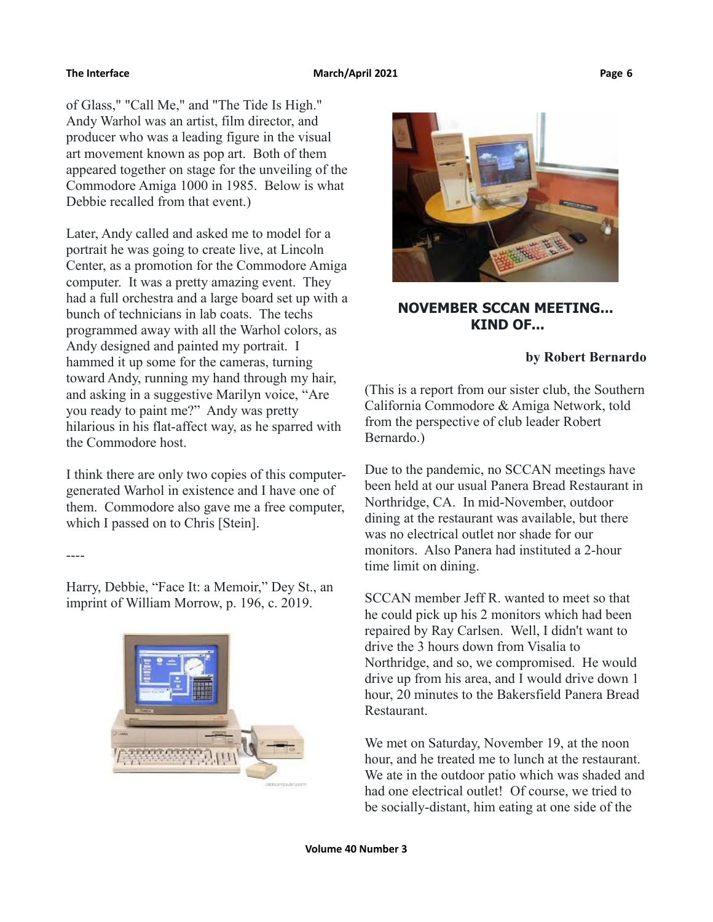----

of Glass," "Call Me," and "The Tide Is High." Andy Warhol was an artist, film director, and producer who was a leading figure in the visual art movement known as pop art. Both of them appeared together on stage for the unveiling of the Commodore Amiga 1000 in 1985. Below is what Debbie recalled from that event.)

Later, Andy called and asked me to model for a portrait he was going to create live, at Lincoln Center, as a promotion for the Commodore Amiga computer. It was a pretty amazing event. They had a full orchestra and a large board set up with a bunch of technicians in lab coats. The techs programmed away with all the Warhol colors, as Andy designed and painted my portrait. I hammed it up some for the cameras, turning toward Andy, running my hand through my hair, and asking in a suggestive Marilyn voice, "Are you ready to paint me?" Andy was pretty hilarious in his flat-affect way, as he sparred with the Commodore host.

I think there are only two copies of this computergenerated Warhol in existence and I have one of them. Commodore also gave me a free computer, which I passed on to Chris [Stein].

Harry, Debbie, "Face It: a Memoir," Dey St., an imprint of William Morrow, p. 196, c. 2019.





# **NOVEMBER SCCAN MEETING... KIND OF...**

## **by Robert Bernardo**

(This is a report from our sister club, the Southern California Commodore & Amiga Network, told from the perspective of club leader Robert Bernardo.)

Due to the pandemic, no SCCAN meetings have been held at our usual Panera Bread Restaurant in Northridge, CA. In mid-November, outdoor dining at the restaurant was available, but there was no electrical outlet nor shade for our monitors. Also Panera had instituted a 2-hour time limit on dining.

SCCAN member Jeff R. wanted to meet so that he could pick up his 2 monitors which had been repaired by Ray Carlsen. Well, I didn't want to drive the 3 hours down from Visalia to Northridge, and so, we compromised. He would drive up from his area, and I would drive down 1 hour, 20 minutes to the Bakersfield Panera Bread Restaurant.

We met on Saturday, November 19, at the noon hour, and he treated me to lunch at the restaurant. We ate in the outdoor patio which was shaded and had one electrical outlet! Of course, we tried to be socially-distant, him eating at one side of the